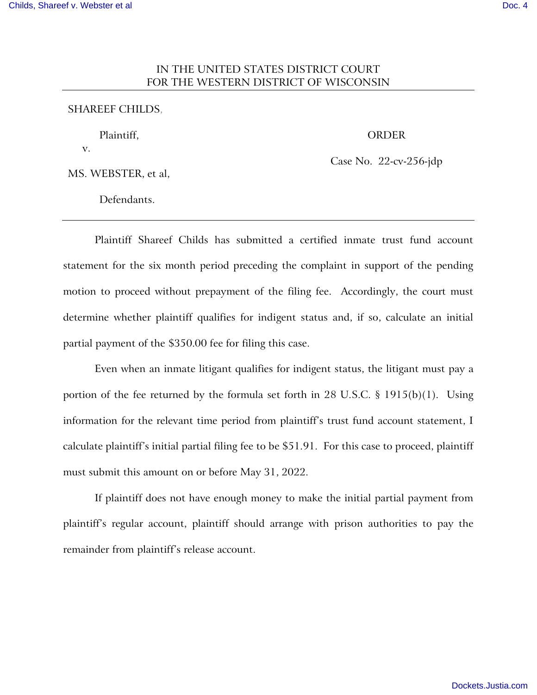# IN THE UNITED STATES DISTRICT COURT FOR THE WESTERN DISTRICT OF WISCONSIN

## SHAREEF CHILDS,

Plaintiff,

ORDER

MS. WEBSTER, et al,

v.

Case No. 22-cv-256-jdp

Defendants.

Plaintiff Shareef Childs has submitted a certified inmate trust fund account statement for the six month period preceding the complaint in support of the pending motion to proceed without prepayment of the filing fee. Accordingly, the court must determine whether plaintiff qualifies for indigent status and, if so, calculate an initial partial payment of the \$350.00 fee for filing this case.

Even when an inmate litigant qualifies for indigent status, the litigant must pay a portion of the fee returned by the formula set forth in 28 U.S.C. § 1915(b)(1). Using information for the relevant time period from plaintiff's trust fund account statement, I calculate plaintiff's initial partial filing fee to be \$51.91. For this case to proceed, plaintiff must submit this amount on or before May 31, 2022.

If plaintiff does not have enough money to make the initial partial payment from plaintiff's regular account, plaintiff should arrange with prison authorities to pay the remainder from plaintiff's release account.